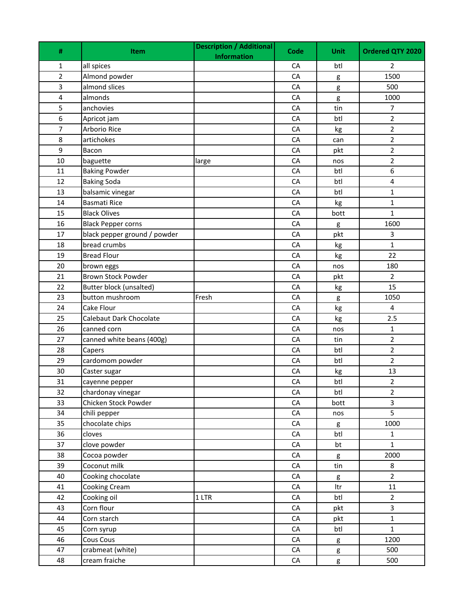| all spices<br>CA<br>btl<br>1<br>2<br>Almond powder<br>1500<br>2<br>CA<br>g<br>3<br>almond slices<br>CA<br>500<br>g<br>$\overline{\mathbf{4}}$<br>almonds<br>CA<br>1000<br>g<br>5<br>anchovies<br>$\overline{7}$<br>CA<br>tin<br>6<br>CA<br>btl<br>$\overline{2}$<br>Apricot jam<br>$\overline{7}$<br>Arborio Rice<br>CA<br>$\overline{2}$<br>kg<br>8<br>artichokes<br>CA<br>$\overline{2}$<br>can<br>9<br>$\overline{2}$<br>Bacon<br>CA<br>pkt<br>$\overline{2}$<br>10<br>CA<br>baguette<br>nos<br>large<br>6<br>CA<br>11<br><b>Baking Powder</b><br>btl<br><b>Baking Soda</b><br>CA<br>4<br>12<br>btl<br>13<br>balsamic vinegar<br>CA<br>btl<br>$\mathbf{1}$<br><b>Basmati Rice</b><br>14<br>CA<br>$\mathbf 1$<br>kg<br><b>Black Olives</b><br>CA<br>$\mathbf{1}$<br>15<br>bott<br>16<br><b>Black Pepper corns</b><br>CA<br>1600<br>g<br>black pepper ground / powder<br>17<br>CA<br>pkt<br>3<br>bread crumbs<br>$\mathbf 1$<br>CA<br>18<br>kg<br><b>Bread Flour</b><br>22<br>19<br>CA<br>kg<br>20<br>CA<br>180<br>brown eggs<br>nos<br><b>Brown Stock Powder</b><br>21<br>CA<br>pkt<br>$\overline{2}$<br>22<br>Butter block (unsalted)<br>CA<br>15<br>kg<br>23<br>button mushroom<br>Fresh<br>CA<br>1050<br>g<br>Cake Flour<br>CA<br>4<br>24<br>kg<br>25<br>Calebaut Dark Chocolate<br>2.5<br>CA<br>kg<br>canned corn<br>CA<br>$\mathbf 1$<br>26<br>nos<br>$\overline{2}$<br>27<br>canned white beans (400g)<br>CA<br>tin<br>$\overline{2}$<br>CA<br>btl<br>28<br>Capers<br>$\overline{2}$<br>29<br>cardomom powder<br>CA<br>btl<br>30<br>Caster sugar<br>CA<br>13<br>kg<br>$\overline{2}$<br>31<br>CA<br>btl<br>cayenne pepper<br>32<br>chardonay vinegar<br>btl<br>CA<br>$\overline{2}$<br>Chicken Stock Powder<br>33<br>${\sf CA}$<br>bott<br>3<br>5<br>34<br>CA<br>chili pepper<br>nos<br>chocolate chips<br>35<br>${\sf CA}$<br>1000<br>g<br>36<br>cloves<br>${\sf CA}$<br>btl<br>1<br>37<br>clove powder<br>${\sf CA}$<br>$\mathbf 1$<br>bt<br>Cocoa powder<br>38<br>2000<br>CA<br>g<br>39<br>Coconut milk<br>${\sf CA}$<br>tin<br>8<br>Cooking chocolate<br>40<br>${\sf CA}$<br>$\overline{2}$<br>g<br>41<br>Cooking Cream<br>${\sf CA}$<br>ltr<br>11<br>Cooking oil<br>42<br>1 LTR<br>${\sf CA}$<br>btl<br>$\overline{2}$<br>Corn flour<br>3<br>43<br>CA<br>pkt<br>44<br>Corn starch<br>CA<br>$\mathbf 1$<br>pkt<br>$\mathbf 1$<br>Corn syrup<br>CA<br>45<br>btl<br>Cous Cous<br>46<br>${\sf CA}$<br>1200<br>g<br>47<br>crabmeat (white)<br>CA<br>500<br>g | #  | Item          | <b>Description / Additional</b> | Code       | <b>Unit</b> | Ordered QTY 2020 |
|----------------------------------------------------------------------------------------------------------------------------------------------------------------------------------------------------------------------------------------------------------------------------------------------------------------------------------------------------------------------------------------------------------------------------------------------------------------------------------------------------------------------------------------------------------------------------------------------------------------------------------------------------------------------------------------------------------------------------------------------------------------------------------------------------------------------------------------------------------------------------------------------------------------------------------------------------------------------------------------------------------------------------------------------------------------------------------------------------------------------------------------------------------------------------------------------------------------------------------------------------------------------------------------------------------------------------------------------------------------------------------------------------------------------------------------------------------------------------------------------------------------------------------------------------------------------------------------------------------------------------------------------------------------------------------------------------------------------------------------------------------------------------------------------------------------------------------------------------------------------------------------------------------------------------------------------------------------------------------------------------------------------------------------------------------------------------------------------------------------------------------------------------------------------------------------------------------------------------------------------------------------------------------------------------------------------------------------------------------------------------------------------------------------------------------------------------------------------|----|---------------|---------------------------------|------------|-------------|------------------|
|                                                                                                                                                                                                                                                                                                                                                                                                                                                                                                                                                                                                                                                                                                                                                                                                                                                                                                                                                                                                                                                                                                                                                                                                                                                                                                                                                                                                                                                                                                                                                                                                                                                                                                                                                                                                                                                                                                                                                                                                                                                                                                                                                                                                                                                                                                                                                                                                                                                                      |    |               | <b>Information</b>              |            |             |                  |
|                                                                                                                                                                                                                                                                                                                                                                                                                                                                                                                                                                                                                                                                                                                                                                                                                                                                                                                                                                                                                                                                                                                                                                                                                                                                                                                                                                                                                                                                                                                                                                                                                                                                                                                                                                                                                                                                                                                                                                                                                                                                                                                                                                                                                                                                                                                                                                                                                                                                      |    |               |                                 |            |             |                  |
|                                                                                                                                                                                                                                                                                                                                                                                                                                                                                                                                                                                                                                                                                                                                                                                                                                                                                                                                                                                                                                                                                                                                                                                                                                                                                                                                                                                                                                                                                                                                                                                                                                                                                                                                                                                                                                                                                                                                                                                                                                                                                                                                                                                                                                                                                                                                                                                                                                                                      |    |               |                                 |            |             |                  |
|                                                                                                                                                                                                                                                                                                                                                                                                                                                                                                                                                                                                                                                                                                                                                                                                                                                                                                                                                                                                                                                                                                                                                                                                                                                                                                                                                                                                                                                                                                                                                                                                                                                                                                                                                                                                                                                                                                                                                                                                                                                                                                                                                                                                                                                                                                                                                                                                                                                                      |    |               |                                 |            |             |                  |
|                                                                                                                                                                                                                                                                                                                                                                                                                                                                                                                                                                                                                                                                                                                                                                                                                                                                                                                                                                                                                                                                                                                                                                                                                                                                                                                                                                                                                                                                                                                                                                                                                                                                                                                                                                                                                                                                                                                                                                                                                                                                                                                                                                                                                                                                                                                                                                                                                                                                      |    |               |                                 |            |             |                  |
|                                                                                                                                                                                                                                                                                                                                                                                                                                                                                                                                                                                                                                                                                                                                                                                                                                                                                                                                                                                                                                                                                                                                                                                                                                                                                                                                                                                                                                                                                                                                                                                                                                                                                                                                                                                                                                                                                                                                                                                                                                                                                                                                                                                                                                                                                                                                                                                                                                                                      |    |               |                                 |            |             |                  |
|                                                                                                                                                                                                                                                                                                                                                                                                                                                                                                                                                                                                                                                                                                                                                                                                                                                                                                                                                                                                                                                                                                                                                                                                                                                                                                                                                                                                                                                                                                                                                                                                                                                                                                                                                                                                                                                                                                                                                                                                                                                                                                                                                                                                                                                                                                                                                                                                                                                                      |    |               |                                 |            |             |                  |
|                                                                                                                                                                                                                                                                                                                                                                                                                                                                                                                                                                                                                                                                                                                                                                                                                                                                                                                                                                                                                                                                                                                                                                                                                                                                                                                                                                                                                                                                                                                                                                                                                                                                                                                                                                                                                                                                                                                                                                                                                                                                                                                                                                                                                                                                                                                                                                                                                                                                      |    |               |                                 |            |             |                  |
|                                                                                                                                                                                                                                                                                                                                                                                                                                                                                                                                                                                                                                                                                                                                                                                                                                                                                                                                                                                                                                                                                                                                                                                                                                                                                                                                                                                                                                                                                                                                                                                                                                                                                                                                                                                                                                                                                                                                                                                                                                                                                                                                                                                                                                                                                                                                                                                                                                                                      |    |               |                                 |            |             |                  |
|                                                                                                                                                                                                                                                                                                                                                                                                                                                                                                                                                                                                                                                                                                                                                                                                                                                                                                                                                                                                                                                                                                                                                                                                                                                                                                                                                                                                                                                                                                                                                                                                                                                                                                                                                                                                                                                                                                                                                                                                                                                                                                                                                                                                                                                                                                                                                                                                                                                                      |    |               |                                 |            |             |                  |
|                                                                                                                                                                                                                                                                                                                                                                                                                                                                                                                                                                                                                                                                                                                                                                                                                                                                                                                                                                                                                                                                                                                                                                                                                                                                                                                                                                                                                                                                                                                                                                                                                                                                                                                                                                                                                                                                                                                                                                                                                                                                                                                                                                                                                                                                                                                                                                                                                                                                      |    |               |                                 |            |             |                  |
|                                                                                                                                                                                                                                                                                                                                                                                                                                                                                                                                                                                                                                                                                                                                                                                                                                                                                                                                                                                                                                                                                                                                                                                                                                                                                                                                                                                                                                                                                                                                                                                                                                                                                                                                                                                                                                                                                                                                                                                                                                                                                                                                                                                                                                                                                                                                                                                                                                                                      |    |               |                                 |            |             |                  |
|                                                                                                                                                                                                                                                                                                                                                                                                                                                                                                                                                                                                                                                                                                                                                                                                                                                                                                                                                                                                                                                                                                                                                                                                                                                                                                                                                                                                                                                                                                                                                                                                                                                                                                                                                                                                                                                                                                                                                                                                                                                                                                                                                                                                                                                                                                                                                                                                                                                                      |    |               |                                 |            |             |                  |
|                                                                                                                                                                                                                                                                                                                                                                                                                                                                                                                                                                                                                                                                                                                                                                                                                                                                                                                                                                                                                                                                                                                                                                                                                                                                                                                                                                                                                                                                                                                                                                                                                                                                                                                                                                                                                                                                                                                                                                                                                                                                                                                                                                                                                                                                                                                                                                                                                                                                      |    |               |                                 |            |             |                  |
|                                                                                                                                                                                                                                                                                                                                                                                                                                                                                                                                                                                                                                                                                                                                                                                                                                                                                                                                                                                                                                                                                                                                                                                                                                                                                                                                                                                                                                                                                                                                                                                                                                                                                                                                                                                                                                                                                                                                                                                                                                                                                                                                                                                                                                                                                                                                                                                                                                                                      |    |               |                                 |            |             |                  |
|                                                                                                                                                                                                                                                                                                                                                                                                                                                                                                                                                                                                                                                                                                                                                                                                                                                                                                                                                                                                                                                                                                                                                                                                                                                                                                                                                                                                                                                                                                                                                                                                                                                                                                                                                                                                                                                                                                                                                                                                                                                                                                                                                                                                                                                                                                                                                                                                                                                                      |    |               |                                 |            |             |                  |
|                                                                                                                                                                                                                                                                                                                                                                                                                                                                                                                                                                                                                                                                                                                                                                                                                                                                                                                                                                                                                                                                                                                                                                                                                                                                                                                                                                                                                                                                                                                                                                                                                                                                                                                                                                                                                                                                                                                                                                                                                                                                                                                                                                                                                                                                                                                                                                                                                                                                      |    |               |                                 |            |             |                  |
|                                                                                                                                                                                                                                                                                                                                                                                                                                                                                                                                                                                                                                                                                                                                                                                                                                                                                                                                                                                                                                                                                                                                                                                                                                                                                                                                                                                                                                                                                                                                                                                                                                                                                                                                                                                                                                                                                                                                                                                                                                                                                                                                                                                                                                                                                                                                                                                                                                                                      |    |               |                                 |            |             |                  |
|                                                                                                                                                                                                                                                                                                                                                                                                                                                                                                                                                                                                                                                                                                                                                                                                                                                                                                                                                                                                                                                                                                                                                                                                                                                                                                                                                                                                                                                                                                                                                                                                                                                                                                                                                                                                                                                                                                                                                                                                                                                                                                                                                                                                                                                                                                                                                                                                                                                                      |    |               |                                 |            |             |                  |
|                                                                                                                                                                                                                                                                                                                                                                                                                                                                                                                                                                                                                                                                                                                                                                                                                                                                                                                                                                                                                                                                                                                                                                                                                                                                                                                                                                                                                                                                                                                                                                                                                                                                                                                                                                                                                                                                                                                                                                                                                                                                                                                                                                                                                                                                                                                                                                                                                                                                      |    |               |                                 |            |             |                  |
|                                                                                                                                                                                                                                                                                                                                                                                                                                                                                                                                                                                                                                                                                                                                                                                                                                                                                                                                                                                                                                                                                                                                                                                                                                                                                                                                                                                                                                                                                                                                                                                                                                                                                                                                                                                                                                                                                                                                                                                                                                                                                                                                                                                                                                                                                                                                                                                                                                                                      |    |               |                                 |            |             |                  |
|                                                                                                                                                                                                                                                                                                                                                                                                                                                                                                                                                                                                                                                                                                                                                                                                                                                                                                                                                                                                                                                                                                                                                                                                                                                                                                                                                                                                                                                                                                                                                                                                                                                                                                                                                                                                                                                                                                                                                                                                                                                                                                                                                                                                                                                                                                                                                                                                                                                                      |    |               |                                 |            |             |                  |
|                                                                                                                                                                                                                                                                                                                                                                                                                                                                                                                                                                                                                                                                                                                                                                                                                                                                                                                                                                                                                                                                                                                                                                                                                                                                                                                                                                                                                                                                                                                                                                                                                                                                                                                                                                                                                                                                                                                                                                                                                                                                                                                                                                                                                                                                                                                                                                                                                                                                      |    |               |                                 |            |             |                  |
|                                                                                                                                                                                                                                                                                                                                                                                                                                                                                                                                                                                                                                                                                                                                                                                                                                                                                                                                                                                                                                                                                                                                                                                                                                                                                                                                                                                                                                                                                                                                                                                                                                                                                                                                                                                                                                                                                                                                                                                                                                                                                                                                                                                                                                                                                                                                                                                                                                                                      |    |               |                                 |            |             |                  |
|                                                                                                                                                                                                                                                                                                                                                                                                                                                                                                                                                                                                                                                                                                                                                                                                                                                                                                                                                                                                                                                                                                                                                                                                                                                                                                                                                                                                                                                                                                                                                                                                                                                                                                                                                                                                                                                                                                                                                                                                                                                                                                                                                                                                                                                                                                                                                                                                                                                                      |    |               |                                 |            |             |                  |
|                                                                                                                                                                                                                                                                                                                                                                                                                                                                                                                                                                                                                                                                                                                                                                                                                                                                                                                                                                                                                                                                                                                                                                                                                                                                                                                                                                                                                                                                                                                                                                                                                                                                                                                                                                                                                                                                                                                                                                                                                                                                                                                                                                                                                                                                                                                                                                                                                                                                      |    |               |                                 |            |             |                  |
|                                                                                                                                                                                                                                                                                                                                                                                                                                                                                                                                                                                                                                                                                                                                                                                                                                                                                                                                                                                                                                                                                                                                                                                                                                                                                                                                                                                                                                                                                                                                                                                                                                                                                                                                                                                                                                                                                                                                                                                                                                                                                                                                                                                                                                                                                                                                                                                                                                                                      |    |               |                                 |            |             |                  |
|                                                                                                                                                                                                                                                                                                                                                                                                                                                                                                                                                                                                                                                                                                                                                                                                                                                                                                                                                                                                                                                                                                                                                                                                                                                                                                                                                                                                                                                                                                                                                                                                                                                                                                                                                                                                                                                                                                                                                                                                                                                                                                                                                                                                                                                                                                                                                                                                                                                                      |    |               |                                 |            |             |                  |
|                                                                                                                                                                                                                                                                                                                                                                                                                                                                                                                                                                                                                                                                                                                                                                                                                                                                                                                                                                                                                                                                                                                                                                                                                                                                                                                                                                                                                                                                                                                                                                                                                                                                                                                                                                                                                                                                                                                                                                                                                                                                                                                                                                                                                                                                                                                                                                                                                                                                      |    |               |                                 |            |             |                  |
|                                                                                                                                                                                                                                                                                                                                                                                                                                                                                                                                                                                                                                                                                                                                                                                                                                                                                                                                                                                                                                                                                                                                                                                                                                                                                                                                                                                                                                                                                                                                                                                                                                                                                                                                                                                                                                                                                                                                                                                                                                                                                                                                                                                                                                                                                                                                                                                                                                                                      |    |               |                                 |            |             |                  |
|                                                                                                                                                                                                                                                                                                                                                                                                                                                                                                                                                                                                                                                                                                                                                                                                                                                                                                                                                                                                                                                                                                                                                                                                                                                                                                                                                                                                                                                                                                                                                                                                                                                                                                                                                                                                                                                                                                                                                                                                                                                                                                                                                                                                                                                                                                                                                                                                                                                                      |    |               |                                 |            |             |                  |
|                                                                                                                                                                                                                                                                                                                                                                                                                                                                                                                                                                                                                                                                                                                                                                                                                                                                                                                                                                                                                                                                                                                                                                                                                                                                                                                                                                                                                                                                                                                                                                                                                                                                                                                                                                                                                                                                                                                                                                                                                                                                                                                                                                                                                                                                                                                                                                                                                                                                      |    |               |                                 |            |             |                  |
|                                                                                                                                                                                                                                                                                                                                                                                                                                                                                                                                                                                                                                                                                                                                                                                                                                                                                                                                                                                                                                                                                                                                                                                                                                                                                                                                                                                                                                                                                                                                                                                                                                                                                                                                                                                                                                                                                                                                                                                                                                                                                                                                                                                                                                                                                                                                                                                                                                                                      |    |               |                                 |            |             |                  |
|                                                                                                                                                                                                                                                                                                                                                                                                                                                                                                                                                                                                                                                                                                                                                                                                                                                                                                                                                                                                                                                                                                                                                                                                                                                                                                                                                                                                                                                                                                                                                                                                                                                                                                                                                                                                                                                                                                                                                                                                                                                                                                                                                                                                                                                                                                                                                                                                                                                                      |    |               |                                 |            |             |                  |
|                                                                                                                                                                                                                                                                                                                                                                                                                                                                                                                                                                                                                                                                                                                                                                                                                                                                                                                                                                                                                                                                                                                                                                                                                                                                                                                                                                                                                                                                                                                                                                                                                                                                                                                                                                                                                                                                                                                                                                                                                                                                                                                                                                                                                                                                                                                                                                                                                                                                      |    |               |                                 |            |             |                  |
|                                                                                                                                                                                                                                                                                                                                                                                                                                                                                                                                                                                                                                                                                                                                                                                                                                                                                                                                                                                                                                                                                                                                                                                                                                                                                                                                                                                                                                                                                                                                                                                                                                                                                                                                                                                                                                                                                                                                                                                                                                                                                                                                                                                                                                                                                                                                                                                                                                                                      |    |               |                                 |            |             |                  |
|                                                                                                                                                                                                                                                                                                                                                                                                                                                                                                                                                                                                                                                                                                                                                                                                                                                                                                                                                                                                                                                                                                                                                                                                                                                                                                                                                                                                                                                                                                                                                                                                                                                                                                                                                                                                                                                                                                                                                                                                                                                                                                                                                                                                                                                                                                                                                                                                                                                                      |    |               |                                 |            |             |                  |
|                                                                                                                                                                                                                                                                                                                                                                                                                                                                                                                                                                                                                                                                                                                                                                                                                                                                                                                                                                                                                                                                                                                                                                                                                                                                                                                                                                                                                                                                                                                                                                                                                                                                                                                                                                                                                                                                                                                                                                                                                                                                                                                                                                                                                                                                                                                                                                                                                                                                      |    |               |                                 |            |             |                  |
|                                                                                                                                                                                                                                                                                                                                                                                                                                                                                                                                                                                                                                                                                                                                                                                                                                                                                                                                                                                                                                                                                                                                                                                                                                                                                                                                                                                                                                                                                                                                                                                                                                                                                                                                                                                                                                                                                                                                                                                                                                                                                                                                                                                                                                                                                                                                                                                                                                                                      |    |               |                                 |            |             |                  |
|                                                                                                                                                                                                                                                                                                                                                                                                                                                                                                                                                                                                                                                                                                                                                                                                                                                                                                                                                                                                                                                                                                                                                                                                                                                                                                                                                                                                                                                                                                                                                                                                                                                                                                                                                                                                                                                                                                                                                                                                                                                                                                                                                                                                                                                                                                                                                                                                                                                                      |    |               |                                 |            |             |                  |
|                                                                                                                                                                                                                                                                                                                                                                                                                                                                                                                                                                                                                                                                                                                                                                                                                                                                                                                                                                                                                                                                                                                                                                                                                                                                                                                                                                                                                                                                                                                                                                                                                                                                                                                                                                                                                                                                                                                                                                                                                                                                                                                                                                                                                                                                                                                                                                                                                                                                      |    |               |                                 |            |             |                  |
|                                                                                                                                                                                                                                                                                                                                                                                                                                                                                                                                                                                                                                                                                                                                                                                                                                                                                                                                                                                                                                                                                                                                                                                                                                                                                                                                                                                                                                                                                                                                                                                                                                                                                                                                                                                                                                                                                                                                                                                                                                                                                                                                                                                                                                                                                                                                                                                                                                                                      |    |               |                                 |            |             |                  |
|                                                                                                                                                                                                                                                                                                                                                                                                                                                                                                                                                                                                                                                                                                                                                                                                                                                                                                                                                                                                                                                                                                                                                                                                                                                                                                                                                                                                                                                                                                                                                                                                                                                                                                                                                                                                                                                                                                                                                                                                                                                                                                                                                                                                                                                                                                                                                                                                                                                                      |    |               |                                 |            |             |                  |
|                                                                                                                                                                                                                                                                                                                                                                                                                                                                                                                                                                                                                                                                                                                                                                                                                                                                                                                                                                                                                                                                                                                                                                                                                                                                                                                                                                                                                                                                                                                                                                                                                                                                                                                                                                                                                                                                                                                                                                                                                                                                                                                                                                                                                                                                                                                                                                                                                                                                      |    |               |                                 |            |             |                  |
|                                                                                                                                                                                                                                                                                                                                                                                                                                                                                                                                                                                                                                                                                                                                                                                                                                                                                                                                                                                                                                                                                                                                                                                                                                                                                                                                                                                                                                                                                                                                                                                                                                                                                                                                                                                                                                                                                                                                                                                                                                                                                                                                                                                                                                                                                                                                                                                                                                                                      |    |               |                                 |            |             |                  |
|                                                                                                                                                                                                                                                                                                                                                                                                                                                                                                                                                                                                                                                                                                                                                                                                                                                                                                                                                                                                                                                                                                                                                                                                                                                                                                                                                                                                                                                                                                                                                                                                                                                                                                                                                                                                                                                                                                                                                                                                                                                                                                                                                                                                                                                                                                                                                                                                                                                                      |    |               |                                 |            |             |                  |
|                                                                                                                                                                                                                                                                                                                                                                                                                                                                                                                                                                                                                                                                                                                                                                                                                                                                                                                                                                                                                                                                                                                                                                                                                                                                                                                                                                                                                                                                                                                                                                                                                                                                                                                                                                                                                                                                                                                                                                                                                                                                                                                                                                                                                                                                                                                                                                                                                                                                      |    |               |                                 |            |             |                  |
|                                                                                                                                                                                                                                                                                                                                                                                                                                                                                                                                                                                                                                                                                                                                                                                                                                                                                                                                                                                                                                                                                                                                                                                                                                                                                                                                                                                                                                                                                                                                                                                                                                                                                                                                                                                                                                                                                                                                                                                                                                                                                                                                                                                                                                                                                                                                                                                                                                                                      |    |               |                                 |            |             |                  |
|                                                                                                                                                                                                                                                                                                                                                                                                                                                                                                                                                                                                                                                                                                                                                                                                                                                                                                                                                                                                                                                                                                                                                                                                                                                                                                                                                                                                                                                                                                                                                                                                                                                                                                                                                                                                                                                                                                                                                                                                                                                                                                                                                                                                                                                                                                                                                                                                                                                                      | 48 | cream fraiche |                                 | ${\sf CA}$ | g           | 500              |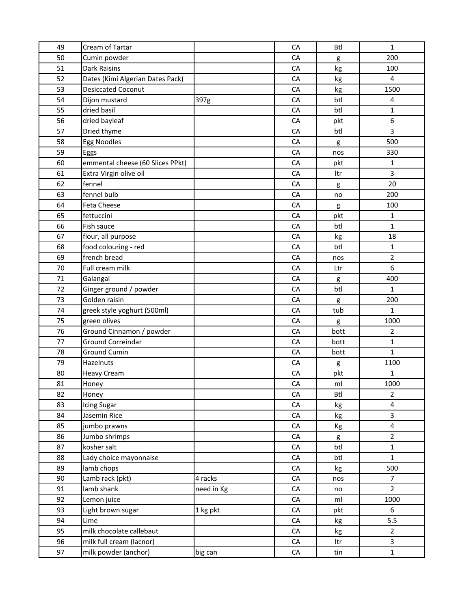| 49 | Cream of Tartar                  |            | CA         | <b>Btl</b> | $\mathbf{1}$            |
|----|----------------------------------|------------|------------|------------|-------------------------|
| 50 | Cumin powder                     |            | CA         | g          | 200                     |
| 51 | <b>Dark Raisins</b>              |            | CA         | kg         | 100                     |
| 52 | Dates (Kimi Algerian Dates Pack) |            | CA         | kg         | 4                       |
| 53 | <b>Desiccated Coconut</b>        |            | CA         | kg         | 1500                    |
| 54 | Dijon mustard                    | 397g       | CA         | btl        | 4                       |
| 55 | dried basil                      |            | CA         | btl        | $\mathbf{1}$            |
| 56 | dried bayleaf                    |            | CA         | pkt        | 6                       |
| 57 | Dried thyme                      |            | CA         | btl        | 3                       |
| 58 | <b>Egg Noodles</b>               |            | CA         | g          | 500                     |
| 59 | Eggs                             |            | CA         | nos        | 330                     |
| 60 | emmental cheese (60 Slices PPkt) |            | CA         | pkt        | 1                       |
| 61 | Extra Virgin olive oil           |            | CA         | Itr        | 3                       |
| 62 | fennel                           |            | CA         | g          | 20                      |
| 63 | fennel bulb                      |            | CA         | no         | 200                     |
| 64 | Feta Cheese                      |            | CA         | g          | 100                     |
| 65 | fettuccini                       |            | CA         | pkt        | $\mathbf{1}$            |
| 66 | Fish sauce                       |            | CA         | btl        | $\mathbf{1}$            |
| 67 | flour, all purpose               |            | CA         | kg         | 18                      |
| 68 | food colouring - red             |            | CA         | btl        | 1                       |
| 69 | french bread                     |            | CA         | nos        | $\overline{2}$          |
| 70 | Full cream milk                  |            | CA         | Ltr        | 6                       |
| 71 | Galangal                         |            | CA         | g          | 400                     |
| 72 | Ginger ground / powder           |            | CA         | btl        | $\mathbf{1}$            |
| 73 | Golden raisin                    |            | CA         | g          | 200                     |
| 74 | greek style yoghurt (500ml)      |            | CA         | tub        | 1                       |
| 75 | green olives                     |            | CA         | g          | 1000                    |
| 76 | Ground Cinnamon / powder         |            | CA         | bott       | $\overline{2}$          |
| 77 | <b>Ground Correindar</b>         |            | CA         | bott       | $\mathbf 1$             |
| 78 | <b>Ground Cumin</b>              |            | CA         | bott       | $\mathbf{1}$            |
| 79 | Hazelnuts                        |            | CA         | g          | 1100                    |
| 80 | <b>Heavy Cream</b>               |            | CA         | pkt        | 1                       |
| 81 | Honey                            |            | CA         | ml         | 1000                    |
| 82 | Honey                            |            | CA         | <b>Btl</b> | $\overline{2}$          |
| 83 | Icing Sugar                      |            | CA         | kg         | $\pmb{4}$               |
| 84 | Jasemin Rice                     |            | CA         | kg         | 3                       |
| 85 | jumbo prawns                     |            | CA         | Кg         | $\overline{\mathbf{4}}$ |
| 86 | Jumbo shrimps                    |            | CA         | g          | $\overline{2}$          |
| 87 | kosher salt                      |            | CA         | btl        | $\mathbf{1}$            |
| 88 | Lady choice mayonnaise           |            | ${\sf CA}$ | btl        | $\mathbf{1}$            |
| 89 | lamb chops                       |            | CA         | kg         | 500                     |
| 90 | Lamb rack (pkt)                  | 4 racks    | CA         | nos        | $\overline{7}$          |
| 91 | lamb shank                       | need in Kg | CA         | no         | $\overline{2}$          |
| 92 | Lemon juice                      |            | CA         | ml         | 1000                    |
| 93 | Light brown sugar                | 1 kg pkt   | CA         | pkt        | 6                       |
| 94 | Lime                             |            | CA         | kg         | 5.5                     |
| 95 | milk chocolate callebaut         |            | CA         | kg         | $\overline{2}$          |
| 96 | milk full cream (lacnor)         |            | ${\sf CA}$ | ltr        | 3                       |
| 97 | milk powder (anchor)             | big can    | ${\sf CA}$ | tin        | $\mathbf 1$             |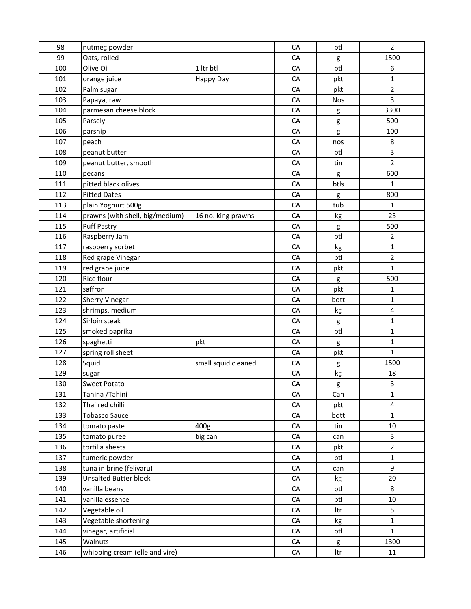| 98  | nutmeg powder                   |                     | CA         | btl        | $\overline{2}$ |
|-----|---------------------------------|---------------------|------------|------------|----------------|
| 99  | Oats, rolled                    |                     | CA         | g          | 1500           |
| 100 | Olive Oil                       | 1 ltr btl           | CA         | btl        | 6              |
| 101 | orange juice                    | Happy Day           | CA         | pkt        | $\mathbf 1$    |
| 102 | Palm sugar                      |                     | CA         | pkt        | $\overline{2}$ |
| 103 | Papaya, raw                     |                     | CA         | <b>Nos</b> | 3              |
| 104 | parmesan cheese block           |                     | CA         | g          | 3300           |
| 105 | Parsely                         |                     | CA         | g          | 500            |
| 106 | parsnip                         |                     | CA         | g          | 100            |
| 107 | peach                           |                     | CA         | nos        | 8              |
| 108 | peanut butter                   |                     | CA         | btl        | 3              |
| 109 | peanut butter, smooth           |                     | CA         | tin        | $\overline{2}$ |
| 110 | pecans                          |                     | CA         | g          | 600            |
| 111 | pitted black olives             |                     | CA         | btls       | $\mathbf{1}$   |
| 112 | <b>Pitted Dates</b>             |                     | CA         | g          | 800            |
| 113 | plain Yoghurt 500g              |                     | CA         | tub        | $\mathbf{1}$   |
| 114 | prawns (with shell, big/medium) | 16 no. king prawns  | CA         | kg         | 23             |
| 115 | <b>Puff Pastry</b>              |                     | CA         | g          | 500            |
| 116 | Raspberry Jam                   |                     | CA         | btl        | $\overline{2}$ |
| 117 | raspberry sorbet                |                     | CA         | kg         | $\mathbf{1}$   |
| 118 | Red grape Vinegar               |                     | CA         | btl        | 2              |
| 119 | red grape juice                 |                     | CA         | pkt        | $\mathbf{1}$   |
| 120 | Rice flour                      |                     | CA         | g          | 500            |
| 121 | saffron                         |                     | CA         | pkt        | 1              |
| 122 | <b>Sherry Vinegar</b>           |                     | CA         | bott       | $\mathbf{1}$   |
| 123 | shrimps, medium                 |                     | CA         | kg         | 4              |
| 124 | Sirloin steak                   |                     | CA         | g          | 1              |
| 125 | smoked paprika                  |                     | CA         | btl        | $\mathbf{1}$   |
| 126 | spaghetti                       | pkt                 | <b>CA</b>  | g          | $\mathbf{1}$   |
| 127 | spring roll sheet               |                     | CA         | pkt        | $\mathbf{1}$   |
| 128 | Squid                           | small squid cleaned | CA         | g          | 1500           |
| 129 | sugar                           |                     | CA         | kg         | 18             |
| 130 | <b>Sweet Potato</b>             |                     | CA         | g          | 3              |
| 131 | Tahina /Tahini                  |                     | CA         | Can        | 1              |
| 132 | Thai red chilli                 |                     | CA         | pkt        | 4              |
| 133 | <b>Tobasco Sauce</b>            |                     | ${\sf CA}$ | bott       | $\mathbf 1$    |
| 134 | tomato paste                    | 400g                | CA         | tin        | 10             |
| 135 | tomato puree                    | big can             | CA         | can        | 3              |
| 136 | tortilla sheets                 |                     | CA         | pkt        | $\overline{2}$ |
| 137 | tumeric powder                  |                     | CA         | btl        | $\mathbf 1$    |
| 138 | tuna in brine (felivaru)        |                     | ${\sf CA}$ | can        | 9              |
| 139 | <b>Unsalted Butter block</b>    |                     | CA         | kg         | 20             |
| 140 | vanilla beans                   |                     | CA         | btl        | 8              |
| 141 | vanilla essence                 |                     | CA         | btl        | 10             |
| 142 | Vegetable oil                   |                     | CA         | Itr        | 5              |
| 143 | Vegetable shortening            |                     | CA         | kg         | $\mathbf{1}$   |
| 144 | vinegar, artificial             |                     | CA         | btl        | $\mathbf 1$    |
| 145 | Walnuts                         |                     | CA         | g          | 1300           |
| 146 | whipping cream (elle and vire)  |                     | CA         | ltr        | 11             |